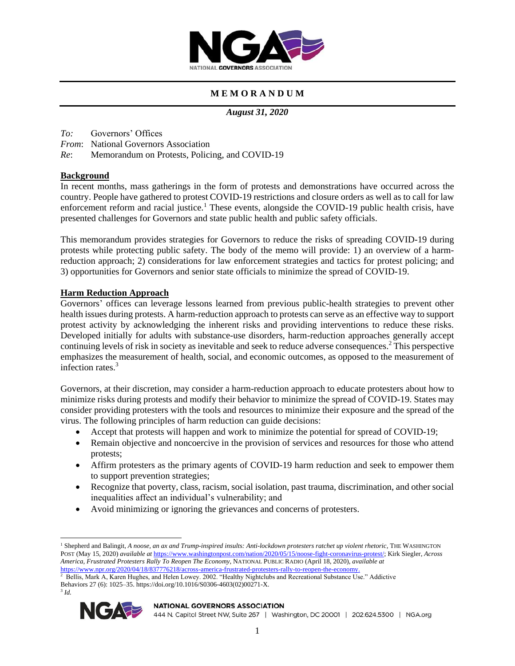

# **M E M O R A N D U M**

*August 31, 2020*

- *To:* Governors' Offices
- *From*: National Governors Association
- *Re*: Memorandum on Protests, Policing, and COVID-19

# **Background**

In recent months, mass gatherings in the form of protests and demonstrations have occurred across the country. People have gathered to protest COVID-19 restrictions and closure orders as well as to call for law enforcement reform and racial justice.<sup>1</sup> These events, alongside the COVID-19 public health crisis, have presented challenges for Governors and state public health and public safety officials.

This memorandum provides strategies for Governors to reduce the risks of spreading COVID-19 during protests while protecting public safety. The body of the memo will provide: 1) an overview of a harmreduction approach; 2) considerations for law enforcement strategies and tactics for protest policing; and 3) opportunities for Governors and senior state officials to minimize the spread of COVID-19.

# **Harm Reduction Approach**

Governors' offices can leverage lessons learned from previous public-health strategies to prevent other health issues during protests. A harm-reduction approach to protests can serve as an effective way to support protest activity by acknowledging the inherent risks and providing interventions to reduce these risks. Developed initially for adults with substance-use disorders, harm-reduction approaches generally accept continuing levels of risk in society as inevitable and seek to reduce adverse consequences.<sup>2</sup> This perspective emphasizes the measurement of health, social, and economic outcomes, as opposed to the measurement of infection rates $3$ 

Governors, at their discretion, may consider a harm-reduction approach to educate protesters about how to minimize risks during protests and modify their behavior to minimize the spread of COVID-19. States may consider providing protesters with the tools and resources to minimize their exposure and the spread of the virus. The following principles of harm reduction can guide decisions:

- Accept that protests will happen and work to minimize the potential for spread of COVID-19;
- Remain objective and noncoercive in the provision of services and resources for those who attend protests;
- Affirm protesters as the primary agents of COVID-19 harm reduction and seek to empower them to support prevention strategies;
- Recognize that poverty, class, racism, social isolation, past trauma, discrimination, and other social inequalities affect an individual's vulnerability; and
- Avoid minimizing or ignoring the grievances and concerns of protesters.

[https://www.npr.org/2020/04/18/837776218/across-america-frustrated-protesters-rally-to-reopen-the-economy.](https://www.npr.org/2020/04/18/837776218/across-america-frustrated-protesters-rally-to-reopen-the-economy)<br><sup>2</sup> Bellis, Mark A, Karen Hughes, and Helen Lowey. 2002. "Healthy Nightclubs and Recreational Substance Use." Addic Behaviors 27 (6): 1025–35. https://doi.org/10.1016/S0306-4603(02)00271-X.





### **NATIONAL GOVERNORS ASSOCIATION**

<sup>1</sup> Shepherd and Balingit, *A noose, an ax and Trump-inspired insults: Anti-lockdown protesters ratchet up violent rhetoric*, THE WASHINGTON POST (May 15, 2020) *available at* [https://www.washingtonpost.com/nation/2020/05/15/noose-fight-coronavirus-protest/;](https://www.washingtonpost.com/nation/2020/05/15/noose-fight-coronavirus-protest/) Kirk Siegler, *Across America, Frustrated Protesters Rally To Reopen The Economy*, NATIONAL PUBLIC RADIO (April 18, 2020), *available at*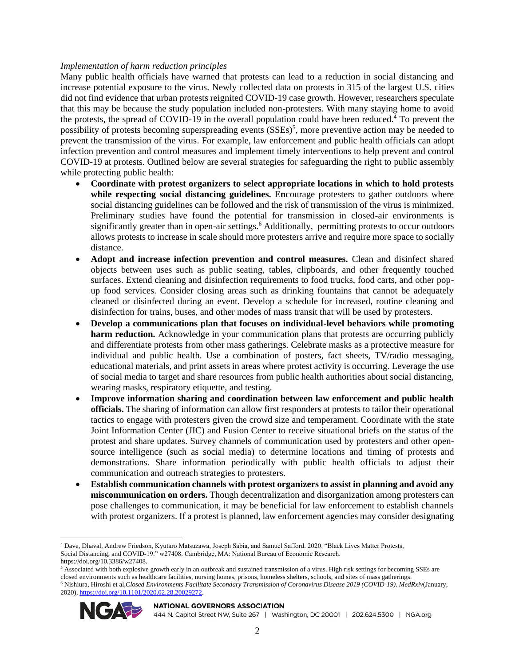# *Implementation of harm reduction principles*

Many public health officials have warned that protests can lead to a reduction in social distancing and increase potential exposure to the virus. Newly collected data on protests in 315 of the largest U.S. cities did not find evidence that urban protests reignited COVID-19 case growth. However, researchers speculate that this may be because the study population included non-protesters. With many staying home to avoid the protests, the spread of COVID-19 in the overall population could have been reduced.<sup>4</sup> To prevent the possibility of protests becoming superspreading events (SSEs)<sup>5</sup>, more preventive action may be needed to prevent the transmission of the virus. For example, law enforcement and public health officials can adopt infection prevention and control measures and implement timely interventions to help prevent and control COVID-19 at protests. Outlined below are several strategies for safeguarding the right to public assembly while protecting public health:

- **Coordinate with protest organizers to select appropriate locations in which to hold protests while respecting social distancing guidelines.** E**n**courage protesters to gather outdoors where social distancing guidelines can be followed and the risk of transmission of the virus is minimized. Preliminary studies have found the potential for transmission in closed-air environments is significantly greater than in open-air settings.<sup>6</sup> Additionally, permitting protests to occur outdoors allows protests to increase in scale should more protesters arrive and require more space to socially distance.
- **Adopt and increase infection prevention and control measures.** Clean and disinfect shared objects between uses such as public seating, tables, clipboards, and other frequently touched surfaces. Extend cleaning and disinfection requirements to food trucks, food carts, and other popup food services. Consider closing areas such as drinking fountains that cannot be adequately cleaned or disinfected during an event. Develop a schedule for increased, routine cleaning and disinfection for trains, buses, and other modes of mass transit that will be used by protesters.
- **Develop a communications plan that focuses on individual-level behaviors while promoting harm reduction.** Acknowledge in your communication plans that protests are occurring publicly and differentiate protests from other mass gatherings. Celebrate masks as a protective measure for individual and public health. Use a combination of posters, fact sheets, TV/radio messaging, educational materials, and print assets in areas where protest activity is occurring. Leverage the use of social media to target and share resources from public health authorities about social distancing, wearing masks, respiratory etiquette, and testing.
- **Improve information sharing and coordination between law enforcement and public health officials.** The sharing of information can allow first responders at protests to tailor their operational tactics to engage with protesters given the crowd size and temperament. Coordinate with the state Joint Information Center (JIC) and Fusion Center to receive situational briefs on the status of the protest and share updates. Survey channels of communication used by protesters and other opensource intelligence (such as social media) to determine locations and timing of protests and demonstrations. Share information periodically with public health officials to adjust their communication and outreach strategies to protesters.
- **Establish communication channels with protest organizers to assist in planning and avoid any miscommunication on orders.** Though decentralization and disorganization among protesters can pose challenges to communication, it may be beneficial for law enforcement to establish channels with protest organizers. If a protest is planned, law enforcement agencies may consider designating

<sup>6</sup> Nishiura, Hiroshi et al,*Closed Environments Facilitate Secondary Transmission of Coronavirus Disease 2019 (COVID-19). MedRxiv*(January, 2020), [https://doi.org/10.1101/2020.02.28.20029272.](https://doi.org/10.1101/2020.02.28.20029272)



#### **NATIONAL GOVERNORS ASSOCIATION**

<sup>4</sup> Dave, Dhaval, Andrew Friedson, Kyutaro Matsuzawa, Joseph Sabia, and Samuel Safford. 2020. "Black Lives Matter Protests, Social Distancing, and COVID-19." w27408. Cambridge, MA: National Bureau of Economic Research. https://doi.org/10.3386/w27408.

<sup>&</sup>lt;sup>5</sup> Associated with both explosive growth early in an outbreak and sustained transmission of a virus. High risk settings for becoming SSEs are closed environments such as healthcare facilities, nursing homes, prisons, homeless shelters, schools, and sites of mass gatherings.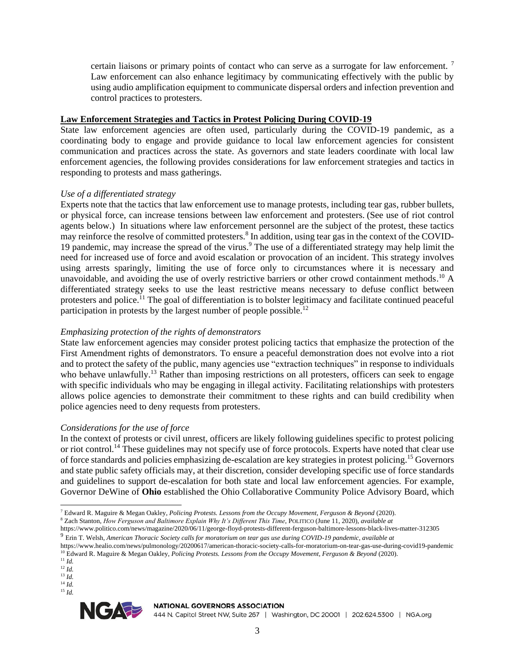certain liaisons or primary points of contact who can serve as a surrogate for law enforcement.  $\frac{7}{1}$ Law enforcement can also enhance legitimacy by communicating effectively with the public by using audio amplification equipment to communicate dispersal orders and infection prevention and control practices to protesters.

### **Law Enforcement Strategies and Tactics in Protest Policing During COVID-19**

State law enforcement agencies are often used, particularly during the COVID-19 pandemic, as a coordinating body to engage and provide guidance to local law enforcement agencies for consistent communication and practices across the state. As governors and state leaders coordinate with local law enforcement agencies, the following provides considerations for law enforcement strategies and tactics in responding to protests and mass gatherings.

## *Use of a differentiated strategy*

Experts note that the tactics that law enforcement use to manage protests, including tear gas, rubber bullets, or physical force, can increase tensions between law enforcement and protesters. (See use of riot control agents below.) In situations where law enforcement personnel are the subject of the protest, these tactics may reinforce the resolve of committed protesters.<sup>8</sup> In addition, using tear gas in the context of the COVID-19 pandemic, may increase the spread of the virus.<sup>9</sup> The use of a differentiated strategy may help limit the need for increased use of force and avoid escalation or provocation of an incident. This strategy involves using arrests sparingly, limiting the use of force only to circumstances where it is necessary and unavoidable, and avoiding the use of overly restrictive barriers or other crowd containment methods.<sup>10</sup> A differentiated strategy seeks to use the least restrictive means necessary to defuse conflict between protesters and police.<sup>11</sup> The goal of differentiation is to bolster legitimacy and facilitate continued peaceful participation in protests by the largest number of people possible.<sup>12</sup>

### *Emphasizing protection of the rights of demonstrators*

State law enforcement agencies may consider protest policing tactics that emphasize the protection of the First Amendment rights of demonstrators. To ensure a peaceful demonstration does not evolve into a riot and to protect the safety of the public, many agencies use "extraction techniques" in response to individuals who behave unlawfully.<sup>13</sup> Rather than imposing restrictions on all protesters, officers can seek to engage with specific individuals who may be engaging in illegal activity. Facilitating relationships with protesters allows police agencies to demonstrate their commitment to these rights and can build credibility when police agencies need to deny requests from protesters.

### *Considerations for the use of force*

In the context of protests or civil unrest, officers are likely following guidelines specific to protest policing or riot control.<sup>14</sup> These guidelines may not specify use of force protocols. Experts have noted that clear use of force standards and policies emphasizing de-escalation are key strategies in protest policing.<sup>15</sup> Governors and state public safety officials may, at their discretion, consider developing specific use of force standards and guidelines to support de-escalation for both state and local law enforcement agencies. For example, Governor DeWine of **Ohio** established the Ohio Collaborative Community Police Advisory Board, which

<sup>8</sup> Zach Stanton, *How Ferguson and Baltimore Explain Why It's Different This Time*, POLITICO (June 11, 2020), *available at*

<sup>15</sup> *Id.*



**NATIONAL GOVERNORS ASSOCIATION** 

<sup>7</sup> Edward R. Maguire & Megan Oakley, *Policing Protests. Lessons from the Occupy Movement, Ferguson & Beyond* (2020).

https://www.politico.com/news/magazine/2020/06/11/george-floyd-protests-different-ferguson-baltimore-lessons-black-lives-matter-312305

<sup>9</sup> Erin T. Welsh, *American Thoracic Society calls for moratorium on tear gas use during COVID-19 pandemic, available at* 

https://www.healio.com/news/pulmonology/20200617/american-thoracic-society-calls-for-moratorium-on-tear-gas-use-during-covid19-pandemic <sup>10</sup> Edward R. Maguire & Megan Oakley, *Policing Protests. Lessons from the Occupy Movement, Ferguson & Beyond* (2020).

<sup>11</sup> *Id.*  $^{12}$  *Id.* 

<sup>13</sup> *Id.*

<sup>14</sup> *Id.*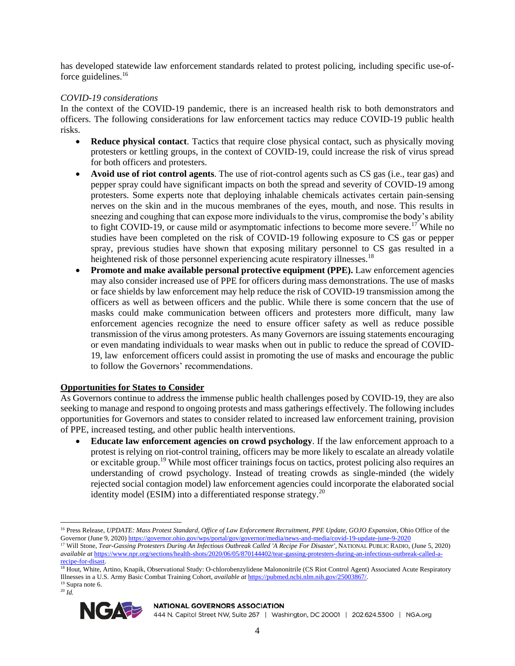has developed statewide law enforcement standards related to protest policing, including specific use-offorce guidelines.<sup>16</sup>

# *COVID-19 considerations*

In the context of the COVID-19 pandemic, there is an increased health risk to both demonstrators and officers. The following considerations for law enforcement tactics may reduce COVID-19 public health risks.

- **Reduce physical contact**. Tactics that require close physical contact, such as physically moving protesters or kettling groups, in the context of COVID-19, could increase the risk of virus spread for both officers and protesters.
- **Avoid use of riot control agents**. The use of riot-control agents such as CS gas (i.e., tear gas) and pepper spray could have significant impacts on both the spread and severity of COVID-19 among protesters. Some experts note that deploying inhalable chemicals activates certain pain-sensing nerves on the skin and in the mucous membranes of the eyes, mouth, and nose. This results in sneezing and coughing that can expose more individuals to the virus, compromise the body's ability to fight COVID-19, or cause mild or asymptomatic infections to become more severe.<sup>17</sup> While no studies have been completed on the risk of COVID-19 following exposure to CS gas or pepper spray, previous studies have shown that exposing military personnel to CS gas resulted in a heightened risk of those personnel experiencing acute respiratory illnesses.<sup>18</sup>
- **Promote and make available personal protective equipment (PPE).** Law enforcement agencies may also consider increased use of PPE for officers during mass demonstrations. The use of masks or face shields by law enforcement may help reduce the risk of COVID-19 transmission among the officers as well as between officers and the public. While there is some concern that the use of masks could make communication between officers and protesters more difficult, many law enforcement agencies recognize the need to ensure officer safety as well as reduce possible transmission of the virus among protesters. As many Governors are issuing statements encouraging or even mandating individuals to wear masks when out in public to reduce the spread of COVID-19, law enforcement officers could assist in promoting the use of masks and encourage the public to follow the Governors' recommendations.

# **Opportunities for States to Consider**

As Governors continue to address the immense public health challenges posed by COVID-19, they are also seeking to manage and respond to ongoing protests and mass gatherings effectively. The following includes opportunities for Governors and states to consider related to increased law enforcement training, provision of PPE, increased testing, and other public health interventions.

• **Educate law enforcement agencies on crowd psychology**. If the law enforcement approach to a protest is relying on riot-control training, officers may be more likely to escalate an already volatile or excitable group.<sup>19</sup> While most officer trainings focus on tactics, protest policing also requires an understanding of crowd psychology. Instead of treating crowds as single-minded (the widely rejected social contagion model) law enforcement agencies could incorporate the elaborated social identity model (ESIM) into a differentiated response strategy. $20$ 

<sup>20</sup> *Id.*



#### **NATIONAL GOVERNORS ASSOCIATION**

<sup>16</sup> Press Release, *UPDATE: Mass Protest Standard, Office of Law Enforcement Recruitment, PPE Update, GOJO Expansion*, Ohio Office of the Governor (June 9, 2020[\) https://governor.ohio.gov/wps/portal/gov/governor/media/news-and-media/covid-19-update-june-9-2020](https://governor.ohio.gov/wps/portal/gov/governor/media/news-and-media/covid-19-update-june-9-2020)

<sup>17</sup> Will Stone, *Tear-Gassing Protesters During An Infectious Outbreak Called 'A Recipe For Disaster'*, NATIONAL PUBLIC RADIO, (June 5, 2020) *available at* [https://www.npr.org/sections/health-shots/2020/06/05/870144402/tear-gassing-protesters-during-an-infectious-outbreak-called-a](https://www.npr.org/sections/health-shots/2020/06/05/870144402/tear-gassing-protesters-during-an-infectious-outbreak-called-a-recipe-for-disast)[recipe-for-disast.](https://www.npr.org/sections/health-shots/2020/06/05/870144402/tear-gassing-protesters-during-an-infectious-outbreak-called-a-recipe-for-disast) 

<sup>&</sup>lt;sup>18</sup> Hout, White, Artino, Knapik, Observational Study: O-chlorobenzylidene Malononitrile (CS Riot Control Agent) Associated Acute Respiratory Illnesses in a U.S. Army Basic Combat Training Cohort*, available at* [https://pubmed.ncbi.nlm.nih.gov/25003867/.](https://pubmed.ncbi.nlm.nih.gov/25003867/)  <sup>19</sup> Supra note 6.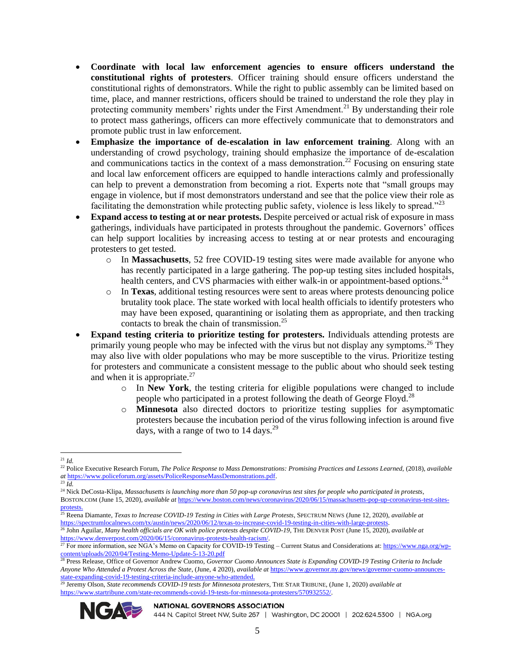- **Coordinate with local law enforcement agencies to ensure officers understand the constitutional rights of protesters**. Officer training should ensure officers understand the constitutional rights of demonstrators. While the right to public assembly can be limited based on time, place, and manner restrictions, officers should be trained to understand the role they play in protecting community members' rights under the First Amendment.<sup>21</sup> By understanding their role to protect mass gatherings, officers can more effectively communicate that to demonstrators and promote public trust in law enforcement.
- **Emphasize the importance of de-escalation in law enforcement training**. Along with an understanding of crowd psychology, training should emphasize the importance of de-escalation and communications tactics in the context of a mass demonstration.<sup>22</sup> Focusing on ensuring state and local law enforcement officers are equipped to handle interactions calmly and professionally can help to prevent a demonstration from becoming a riot. Experts note that "small groups may engage in violence, but if most demonstrators understand and see that the police view their role as facilitating the demonstration while protecting public safety, violence is less likely to spread."<sup>23</sup>
- **Expand access to testing at or near protests.** Despite perceived or actual risk of exposure in mass gatherings, individuals have participated in protests throughout the pandemic. Governors' offices can help support localities by increasing access to testing at or near protests and encouraging protesters to get tested.
	- o In **Massachusetts**, 52 free COVID-19 testing sites were made available for anyone who has recently participated in a large gathering. The pop-up testing sites included hospitals, health centers, and CVS pharmacies with either walk-in or appointment-based options.<sup>24</sup>
	- o In **Texas**, additional testing resources were sent to areas where protests denouncing police brutality took place. The state worked with local health officials to identify protesters who may have been exposed, quarantining or isolating them as appropriate, and then tracking contacts to break the chain of transmission.<sup>25</sup>
- **Expand testing criteria to prioritize testing for protesters.** Individuals attending protests are primarily young people who may be infected with the virus but not display any symptoms.<sup>26</sup> They may also live with older populations who may be more susceptible to the virus. Prioritize testing for protesters and communicate a consistent message to the public about who should seek testing and when it is appropriate. $27$ 
	- o In **New York**, the testing criteria for eligible populations were changed to include people who participated in a protest following the death of George Floyd.<sup>28</sup>
	- o **Minnesota** also directed doctors to prioritize testing supplies for asymptomatic protesters because the incubation period of the virus following infection is around five days, with a range of two to  $14 \text{ days}$ .<sup>29</sup>

<sup>29</sup> Jeremy Olson, *State recommends COVID-19 tests for Minnesota protesters*, THE STAR TRIBUNE, (June 1, 2020) *available at* [https://www.startribune.com/state-recommends-covid-19-tests-for-minnesota-protesters/570932552/.](https://www.startribune.com/state-recommends-covid-19-tests-for-minnesota-protesters/570932552/) 



### **NATIONAL GOVERNORS ASSOCIATION**

<sup>21</sup> *Id.*

<sup>&</sup>lt;sup>22</sup> Police Executive Research Forum, *The Police Response to Mass Demonstrations: Promising Practices and Lessons Learned, (2018), <i>available at* [https://www.policeforum.org/assets/PoliceResponseMassDemonstrations.pdf.](https://www.policeforum.org/assets/PoliceResponseMassDemonstrations.pdf) 

<sup>23</sup> *Id.*

<sup>24</sup> Nick DeCosta-Klipa, *Massachusetts is launching more than 50 pop-up coronavirus test sites for people who participated in protests*,

BOSTON.COM (June 15, 2020), *available at* [https://www.boston.com/news/coronavirus/2020/06/15/massachusetts-pop-up-coronavirus-test-sites](https://www.boston.com/news/coronavirus/2020/06/15/massachusetts-pop-up-coronavirus-test-sites-protests)[protests.](https://www.boston.com/news/coronavirus/2020/06/15/massachusetts-pop-up-coronavirus-test-sites-protests) 

<sup>25</sup> Reena Diamante, *Texas to Increase COVID-19 Testing in Cities with Large Protests*, SPECTRUM NEWS (June 12, 2020), *available at*  [https://spectrumlocalnews.com/tx/austin/news/2020/06/12/texas-to-increase-covid-19-testing-in-cities-with-large-protests.](https://spectrumlocalnews.com/tx/austin/news/2020/06/12/texas-to-increase-covid-19-testing-in-cities-with-large-protests) 

<sup>26</sup> John Aguilar, *Many health officials are OK with police protests despite COVID-19*, THE DENVER POST (June 15, 2020), *available at* [https://www.denverpost.com/2020/06/15/coronavirus-protests-health-racism/.](https://www.denverpost.com/2020/06/15/coronavirus-protests-health-racism/)

<sup>&</sup>lt;sup>27</sup> For more information, see NGA's Memo on Capacity for COVID-19 Testing – Current Status and Considerations at: [https://www.nga.org/wp](https://www.nga.org/wp-content/uploads/2020/04/Testing-Memo-Update-5-13-20.pdf)[content/uploads/2020/04/Testing-Memo-Update-5-13-20.pdf](https://www.nga.org/wp-content/uploads/2020/04/Testing-Memo-Update-5-13-20.pdf)

<sup>28</sup> Press Release, Office of Governor Andrew Cuomo, *Governor Cuomo Announces State is Expanding COVID-19 Testing Criteria to Include Anyone Who Attended a Protest Across the State*, (June, 4 2020), *available at* [https://www.governor.ny.gov/news/governor-cuomo-announces](https://www.governor.ny.gov/news/governor-cuomo-announces-state-expanding-covid-19-testing-criteria-include-anyone-who-attended)[state-expanding-covid-19-testing-criteria-include-anyone-who-attended.](https://www.governor.ny.gov/news/governor-cuomo-announces-state-expanding-covid-19-testing-criteria-include-anyone-who-attended)